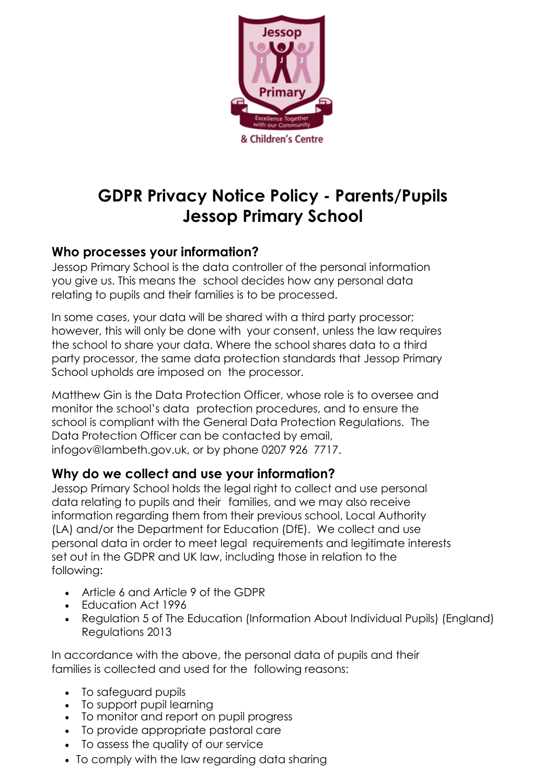

# **GDPR Privacy Notice Policy - Parents/Pupils Jessop Primary School**

## **Who processes your information?**

Jessop Primary School is the data controller of the personal information you give us. This means the school decides how any personal data relating to pupils and their families is to be processed.

In some cases, your data will be shared with a third party processor; however, this will only be done with your consent, unless the law requires the school to share your data. Where the school shares data to a third party processor, the same data protection standards that Jessop Primary School upholds are imposed on the processor.

Matthew Gin is the Data Protection Officer, whose role is to oversee and monitor the school's data protection procedures, and to ensure the school is compliant with the General Data Protection Regulations. The Data Protection Officer can be contacted by email, infogov@lambeth.gov.uk, or by phone 0207 926 7717.

### **Why do we collect and use your information?**

Jessop Primary School holds the legal right to collect and use personal data relating to pupils and their families, and we may also receive information regarding them from their previous school, Local Authority (LA) and/or the Department for Education (DfE). We collect and use personal data in order to meet legal requirements and legitimate interests set out in the GDPR and UK law, including those in relation to the following:

- Article 6 and Article 9 of the GDPR
- Education Act 1996
- Regulation 5 of The Education (Information About Individual Pupils) (England) Regulations 2013

In accordance with the above, the personal data of pupils and their families is collected and used for the following reasons:

- To safeguard pupils
- To support pupil learning
- To monitor and report on pupil progress
- To provide appropriate pastoral care
- To assess the quality of our service
- To comply with the law regarding data sharing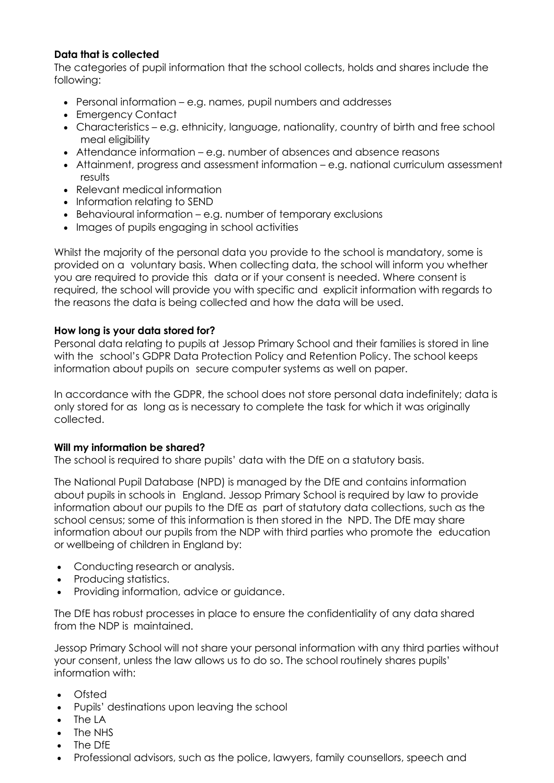#### **Data that is collected**

The categories of pupil information that the school collects, holds and shares include the following:

- Personal information e.g. names, pupil numbers and addresses
- Emergency Contact
- Characteristics e.g. ethnicity, language, nationality, country of birth and free school meal eligibility
- Attendance information e.g. number of absences and absence reasons
- Attainment, progress and assessment information e.g. national curriculum assessment results
- Relevant medical information
- Information relating to SEND
- Behavioural information e.g. number of temporary exclusions
- Images of pupils engaging in school activities

Whilst the majority of the personal data you provide to the school is mandatory, some is provided on a voluntary basis. When collecting data, the school will inform you whether you are required to provide this data or if your consent is needed. Where consent is required, the school will provide you with specific and explicit information with regards to the reasons the data is being collected and how the data will be used.

#### **How long is your data stored for?**

Personal data relating to pupils at Jessop Primary School and their families is stored in line with the school's GDPR Data Protection Policy and Retention Policy. The school keeps information about pupils on secure computer systems as well on paper.

In accordance with the GDPR, the school does not store personal data indefinitely; data is only stored for as long as is necessary to complete the task for which it was originally collected.

#### **Will my information be shared?**

The school is required to share pupils' data with the DfE on a statutory basis.

The National Pupil Database (NPD) is managed by the DfE and contains information about pupils in schools in England. Jessop Primary School is required by law to provide information about our pupils to the DfE as part of statutory data collections, such as the school census; some of this information is then stored in the NPD. The DfE may share information about our pupils from the NDP with third parties who promote the education or wellbeing of children in England by:

- Conducting research or analysis.
- Producing statistics.
- Providing information, advice or guidance.

The DfE has robust processes in place to ensure the confidentiality of any data shared from the NDP is maintained.

Jessop Primary School will not share your personal information with any third parties without your consent, unless the law allows us to do so. The school routinely shares pupils' information with:

- Ofsted
- Pupils' destinations upon leaving the school
- The LA
- The NHS
- The DfE
- Professional advisors, such as the police, lawyers, family counsellors, speech and